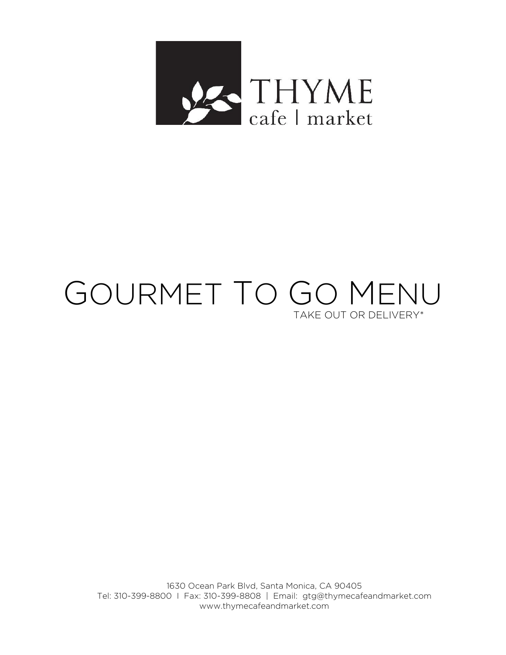

# GOURMET TO GO MENU TAKE OUT OR DELIVERY\*

1630 Ocean Park Blvd, Santa Monica, CA 90405 Tel: 310-399-8800 I Fax: 310-399-8808 | Email: gtg@thymecafeandmarket.com www.thymecafeandmarket.com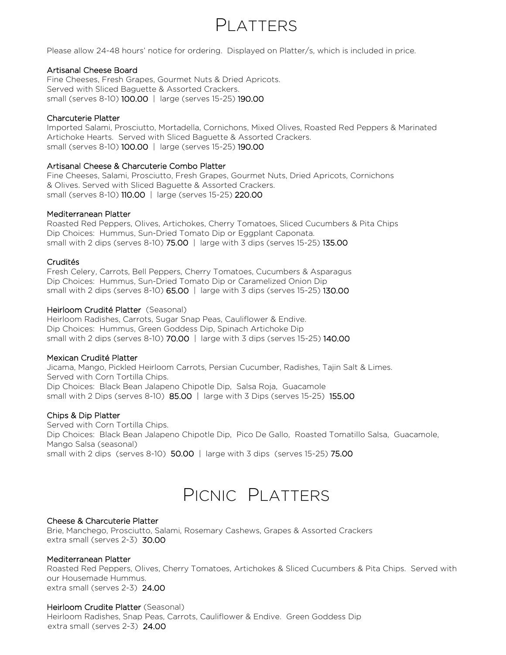### PI ATTERS

Please allow 24-48 hours' notice for ordering. Displayed on Platter/s, which is included in price.

### Artisanal Cheese Board

Fine Cheeses, Fresh Grapes, Gourmet Nuts & Dried Apricots. Served with Sliced Baguette & Assorted Crackers. small (serves 8-10) 100.00 | large (serves 15-25) 190.00

### Charcuterie Platter

Imported Salami, Prosciutto, Mortadella, Cornichons, Mixed Olives, Roasted Red Peppers & Marinated Artichoke Hearts. Served with Sliced Baguette & Assorted Crackers. small (serves 8-10) 100.00 | large (serves 15-25) 190.00

### Artisanal Cheese & Charcuterie Combo Platter

Fine Cheeses, Salami, Prosciutto, Fresh Grapes, Gourmet Nuts, Dried Apricots, Cornichons & Olives. Served with Sliced Baguette & Assorted Crackers. small (serves 8-10) 110.00 | large (serves 15-25) 220.00

### Mediterranean Platter

Roasted Red Peppers, Olives, Artichokes, Cherry Tomatoes, Sliced Cucumbers & Pita Chips Dip Choices: Hummus, Sun-Dried Tomato Dip or Eggplant Caponata. small with 2 dips (serves 8-10)  $75.00$  | large with 3 dips (serves 15-25) 135.00

### Crudités

Fresh Celery, Carrots, Bell Peppers, Cherry Tomatoes, Cucumbers & Asparagus Dip Choices: Hummus, Sun-Dried Tomato Dip or Caramelized Onion Dip small with 2 dips (serves 8-10)  $65.00$  | large with 3 dips (serves 15-25) 130.00

### Heirloom Crudité Platter (Seasonal)

Heirloom Radishes, Carrots, Sugar Snap Peas, Cauliflower & Endive. Dip Choices: Hummus, Green Goddess Dip, Spinach Artichoke Dip small with 2 dips (serves 8-10)  $70.00$  | large with 3 dips (serves 15-25) 140.00

### Mexican Crudité Platter

Jicama, Mango, Pickled Heirloom Carrots, Persian Cucumber, Radishes, Tajin Salt & Limes. Served with Corn Tortilla Chips. Dip Choices: Black Bean Jalapeno Chipotle Dip, Salsa Roja, Guacamole small with 2 Dips (serves 8-10)  $85.00$  | large with 3 Dips (serves 15-25) 155.00

### Chips & Dip Platter

Served with Corn Tortilla Chips. Dip Choices: Black Bean Jalapeno Chipotle Dip, Pico De Gallo, Roasted Tomatillo Salsa, Guacamole, Mango Salsa (seasonal) small with 2 dips (serves 8-10)  $50.00$  | large with 3 dips (serves 15-25) 75.00

# PICNIC PLATTERS

### Cheese & Charcuterie Platter

Brie, Manchego, Prosciutto, Salami, Rosemary Cashews, Grapes & Assorted Crackers extra small (serves 2-3) 30.00

### Mediterranean Platter

Roasted Red Peppers, Olives, Cherry Tomatoes, Artichokes & Sliced Cucumbers & Pita Chips. Served with our Housemade Hummus. extra small (serves 2-3) 24.00

### Heirloom Crudite Platter (Seasonal)

Heirloom Radishes, Snap Peas, Carrots, Cauliflower & Endive. Green Goddess Dip extra small (serves 2-3) 24.00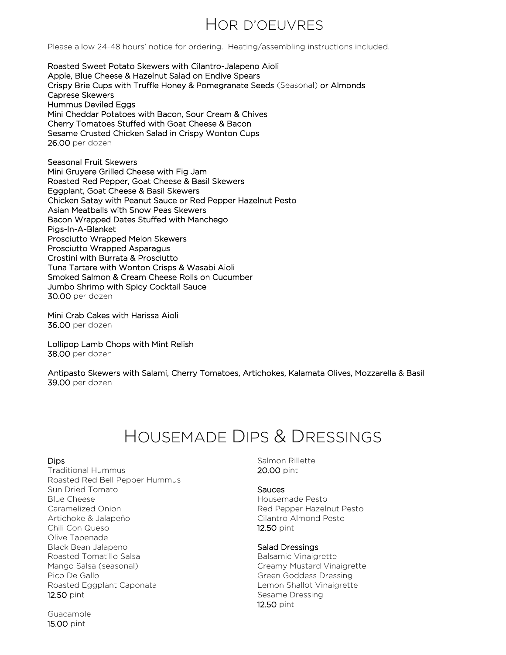### HOR D'OEUVRES

Please allow 24-48 hours' notice for ordering. Heating/assembling instructions included.

Roasted Sweet Potato Skewers with Cilantro-Jalapeno Aioli Apple, Blue Cheese & Hazelnut Salad on Endive Spears Crispy Brie Cups with Truffle Honey & Pomegranate Seeds (Seasonal) or Almonds Caprese Skewers Hummus Deviled Eggs Mini Cheddar Potatoes with Bacon, Sour Cream & Chives Cherry Tomatoes Stuffed with Goat Cheese & Bacon Sesame Crusted Chicken Salad in Crispy Wonton Cups 26.00 per dozen

Seasonal Fruit Skewers Mini Gruyere Grilled Cheese with Fig Jam Roasted Red Pepper, Goat Cheese & Basil Skewers Eggplant, Goat Cheese & Basil Skewers Chicken Satay with Peanut Sauce or Red Pepper Hazelnut Pesto Asian Meatballs with Snow Peas Skewers Bacon Wrapped Dates Stuffed with Manchego Pigs-In-A-Blanket Prosciutto Wrapped Melon Skewers Prosciutto Wrapped Asparagus Crostini with Burrata & Prosciutto Tuna Tartare with Wonton Crisps & Wasabi Aioli Smoked Salmon & Cream Cheese Rolls on Cucumber Jumbo Shrimp with Spicy Cocktail Sauce 30.00 per dozen

Mini Crab Cakes with Harissa Aioli 36.00 per dozen

Lollipop Lamb Chops with Mint Relish 38.00 per dozen

Antipasto Skewers with Salami, Cherry Tomatoes, Artichokes, Kalamata Olives, Mozzarella & Basil 39.00 per dozen

# HOUSEMADE DIPS & DRESSINGS

### Dips

Traditional Hummus Roasted Red Bell Pepper Hummus Sun Dried Tomato Blue Cheese Caramelized Onion Artichoke & Jalapeño Chili Con Queso Olive Tapenade Black Bean Jalapeno Roasted Tomatillo Salsa Mango Salsa (seasonal) Pico De Gallo Roasted Eggplant Caponata 12.50 pint

Guacamole 15.00 pint

Salmon Rillette 20.00 pint

### **Sauces**

Housemade Pesto Red Pepper Hazelnut Pesto Cilantro Almond Pesto 12.50 pint

### Salad Dressings

Balsamic Vinaigrette Creamy Mustard Vinaigrette Green Goddess Dressing Lemon Shallot Vinaigrette Sesame Dressing 12.50 pint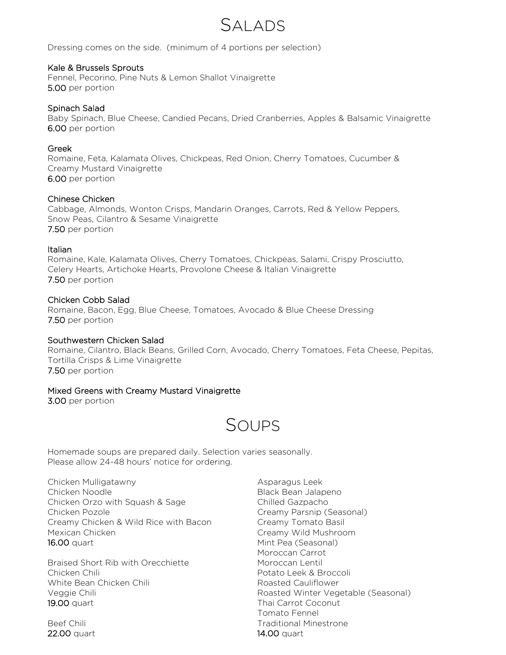### SALADS

Dressing comes on the side. (minimum of 4 portions per selection)

### Kale & Brussels Sprouts

Fennel, Pecorino, Pine Nuts & Lemon Shallot Vinaigrette 5.00 per portion

### Spinach Salad

Baby Spinach, Blue Cheese, Candied Pecans, Dried Cranberries, Apples & Balsamic Vinaigrette 6.00 per portion

### Greek

Romaine, Feta, Kalamata Olives, Chickpeas, Red Onion, Cherry Tomatoes, Cucumber & Creamy Mustard Vinaigrette 6.00 per portion

### Chinese Chicken

Cabbage, Almonds, Wonton Crisps, Mandarin Oranges, Carrots, Red & Yellow Peppers, Snow Peas, Cilantro & Sesame Vinaigrette 7.50 per portion

### Italian

Romaine, Kale, Kalamata Olives, Cherry Tomatoes, Chickpeas, Salami, Crispy Prosciutto, Celery Hearts, Artichoke Hearts, Provolone Cheese & Italian Vinaigrette 7.50 per portion

### Chicken Cobb Salad

Romaine, Bacon, Egg, Blue Cheese, Tomatoes, Avocado & Blue Cheese Dressing 7.50 per portion

### Southwestern Chicken Salad

Romaine, Cilantro, Black Beans, Grilled Corn, Avocado, Cherry Tomatoes, Feta Cheese, Pepitas, Tortilla Crisps & Lime Vinaigrette 7.50 per portion

### Mixed Greens with Creamy Mustard Vinaigrette

3.00 per portion

# SOUPS

Homemade soups are prepared daily. Selection varies seasonally. Please allow 24-48 hours' notice for ordering.

Chicken Mulligatawny Chicken Noodle Chicken Orzo with Squash & Sage Chicken Pozole Creamy Chicken & Wild Rice with Bacon Mexican Chicken 16.00 quart

Braised Short Rib with Orecchiette Chicken Chili White Bean Chicken Chili Veggie Chili 19.00 quart

Beef Chili 22.00 quart

Asparagus Leek Black Bean Jalapeno Chilled Gazpacho Creamy Parsnip (Seasonal) Creamy Tomato Basil Creamy Wild Mushroom Mint Pea (Seasonal) Moroccan Carrot Moroccan Lentil Potato Leek & Broccoli Roasted Cauliflower Roasted Winter Vegetable (Seasonal) Thai Carrot Coconut Tomato Fennel Traditional Minestrone 14.00 quart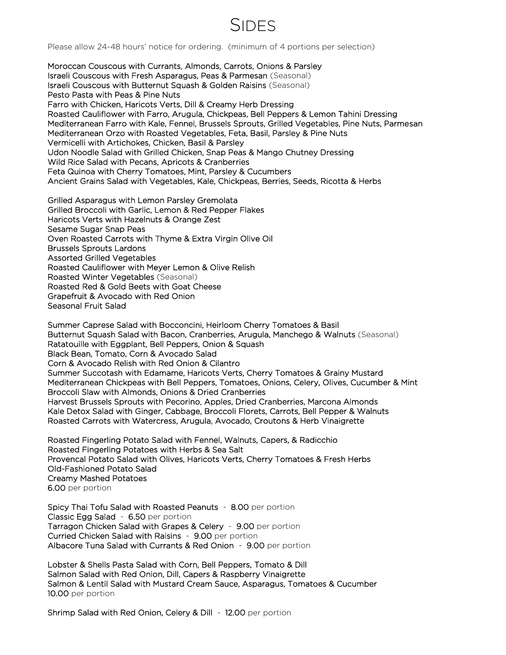### SIDES

Please allow 24-48 hours' notice for ordering. (minimum of 4 portions per selection)

Moroccan Couscous with Currants, Almonds, Carrots, Onions & Parsley Israeli Couscous with Fresh Asparagus, Peas & Parmesan (Seasonal) Israeli Couscous with Butternut Squash & Golden Raisins (Seasonal) Pesto Pasta with Peas & Pine Nuts Farro with Chicken, Haricots Verts, Dill & Creamy Herb Dressing Roasted Cauliflower with Farro, Arugula, Chickpeas, Bell Peppers & Lemon Tahini Dressing Mediterranean Farro with Kale, Fennel, Brussels Sprouts, Grilled Vegetables, Pine Nuts, Parmesan Mediterranean Orzo with Roasted Vegetables, Feta, Basil, Parsley & Pine Nuts Vermicelli with Artichokes, Chicken, Basil & Parsley Udon Noodle Salad with Grilled Chicken, Snap Peas & Mango Chutney Dressing Wild Rice Salad with Pecans, Apricots & Cranberries Feta Quinoa with Cherry Tomatoes, Mint, Parsley & Cucumbers Ancient Grains Salad with Vegetables, Kale, Chickpeas, Berries, Seeds, Ricotta & Herbs

Grilled Asparagus with Lemon Parsley Gremolata Grilled Broccoli with Garlic, Lemon & Red Pepper Flakes Haricots Verts with Hazelnuts & Orange Zest Sesame Sugar Snap Peas Oven Roasted Carrots with Thyme & Extra Virgin Olive Oil Brussels Sprouts Lardons Assorted Grilled Vegetables Roasted Cauliflower with Meyer Lemon & Olive Relish Roasted Winter Vegetables (Seasonal) Roasted Red & Gold Beets with Goat Cheese Grapefruit & Avocado with Red Onion Seasonal Fruit Salad

Summer Caprese Salad with Bocconcini, Heirloom Cherry Tomatoes & Basil Butternut Squash Salad with Bacon, Cranberries, Arugula, Manchego & Walnuts (Seasonal) Ratatouille with Eggplant, Bell Peppers, Onion & Squash Black Bean, Tomato, Corn & Avocado Salad Corn & Avocado Relish with Red Onion & Cilantro Summer Succotash with Edamame, Haricots Verts, Cherry Tomatoes & Grainy Mustard Mediterranean Chickpeas with Bell Peppers, Tomatoes, Onions, Celery, Olives, Cucumber & Mint Broccoli Slaw with Almonds, Onions & Dried Cranberries Harvest Brussels Sprouts with Pecorino, Apples, Dried Cranberries, Marcona Almonds Kale Detox Salad with Ginger, Cabbage, Broccoli Florets, Carrots, Bell Pepper & Walnuts Roasted Carrots with Watercress, Arugula, Avocado, Croutons & Herb Vinaigrette

Roasted Fingerling Potato Salad with Fennel, Walnuts, Capers, & Radicchio Roasted Fingerling Potatoes with Herbs & Sea Salt Provencal Potato Salad with Olives, Haricots Verts, Cherry Tomatoes & Fresh Herbs Old-Fashioned Potato Salad Creamy Mashed Potatoes 6.00 per portion

Spicy Thai Tofu Salad with Roasted Peanuts - 8.00 per portion Classic Egg Salad - 6.50 per portion Tarragon Chicken Salad with Grapes & Celery - 9.00 per portion Curried Chicken Salad with Raisins - 9.00 per portion Albacore Tuna Salad with Currants & Red Onion - 9.00 per portion

Lobster & Shells Pasta Salad with Corn, Bell Peppers, Tomato & Dill Salmon Salad with Red Onion, Dill, Capers & Raspberry Vinaigrette Salmon & Lentil Salad with Mustard Cream Sauce, Asparagus, Tomatoes & Cucumber 10.00 per portion

Shrimp Salad with Red Onion, Celery & Dill - 12.00 per portion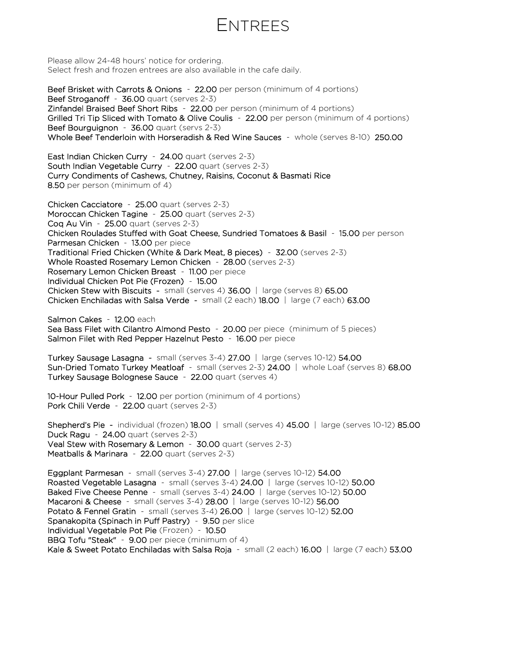### ENTREES

Please allow 24-48 hours' notice for ordering. Select fresh and frozen entrees are also available in the cafe daily.

Beef Brisket with Carrots & Onions - 22.00 per person (minimum of 4 portions) Beef Stroganoff - 36.00 quart (serves 2-3) Zinfandel Braised Beef Short Ribs - 22.00 per person (minimum of 4 portions) Grilled Tri Tip Sliced with Tomato & Olive Coulis - 22.00 per person (minimum of 4 portions) Beef Bourguignon - 36.00 quart (servs 2-3) Whole Beef Tenderloin with Horseradish & Red Wine Sauces - whole (serves 8-10) 250.00

East Indian Chicken Curry - 24.00 quart (serves 2-3) South Indian Vegetable Curry - 22.00 quart (serves 2-3) Curry Condiments of Cashews, Chutney, Raisins, Coconut & Basmati Rice 8.50 per person (minimum of 4)

Chicken Cacciatore - 25.00 quart (serves 2-3) Moroccan Chicken Tagine - 25.00 quart (serves 2-3) Coq Au Vin - 25.00 quart (serves 2-3) Chicken Roulades Stuffed with Goat Cheese, Sundried Tomatoes & Basil - 15.00 per person Parmesan Chicken - 13.00 per piece Traditional Fried Chicken (White & Dark Meat, 8 pieces) - 32.00 (serves 2-3) Whole Roasted Rosemary Lemon Chicken - 28.00 (serves 2-3) Rosemary Lemon Chicken Breast - 11.00 per piece Individual Chicken Pot Pie (Frozen) - 15.00 Chicken Stew with Biscuits - small (serves 4) 36.00 | large (serves 8) 65.00 Chicken Enchiladas with Salsa Verde - small (2 each) 18.00 | large (7 each) 63.00

Salmon Cakes - 12.00 each Sea Bass Filet with Cilantro Almond Pesto - 20.00 per piece (minimum of 5 pieces) Salmon Filet with Red Pepper Hazelnut Pesto - 16.00 per piece

Turkey Sausage Lasagna - small (serves 3-4) 27.00 | large (serves 10-12) 54.00 Sun-Dried Tomato Turkey Meatloaf - small (serves 2-3) 24.00 | whole Loaf (serves 8) 68.00 Turkey Sausage Bolognese Sauce - 22.00 quart (serves 4)

10-Hour Pulled Pork - 12.00 per portion (minimum of 4 portions) Pork Chili Verde - 22.00 quart (serves 2-3)

Shepherd's Pie - individual (frozen) 18.00 | small (serves 4) 45.00 | large (serves 10-12) 85.00 Duck Ragu - 24.00 quart (serves 2-3) Veal Stew with Rosemary & Lemon - 30.00 quart (serves 2-3) Meatballs & Marinara - 22.00 quart (serves 2-3)

Eggplant Parmesan - small (serves 3-4) 27.00 | large (serves 10-12) 54.00 Roasted Vegetable Lasagna - small (serves 3-4) 24.00 | large (serves 10-12) 50.00 Baked Five Cheese Penne - small (serves 3-4) 24.00 | large (serves 10-12) 50.00 Macaroni & Cheese - small (serves 3-4) 28.00 | large (serves 10-12) 56.00 Potato & Fennel Gratin - small (serves 3-4) 26.00 | large (serves 10-12) 52.00 Spanakopita (Spinach in Puff Pastry) - 9.50 per slice Individual Vegetable Pot Pie (Frozen) - 10.50 BBQ Tofu "Steak" - 9.00 per piece (minimum of 4) Kale & Sweet Potato Enchiladas with Salsa Roja - small (2 each) 16.00 | large (7 each) 53.00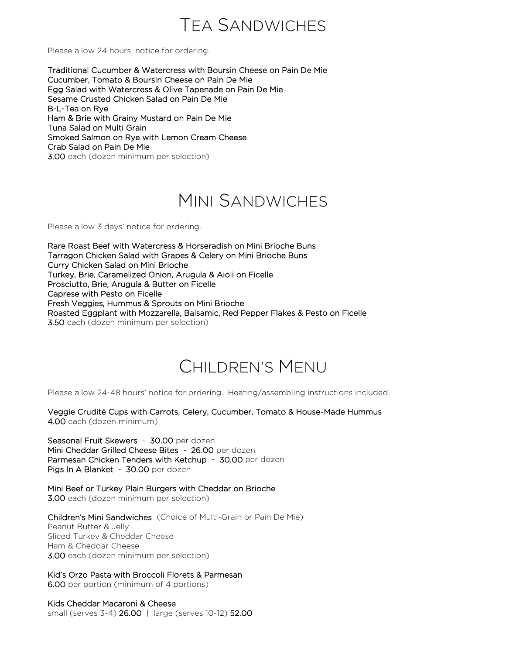### TEA SANDWICHES

Please allow 24 hours' notice for ordering.

Traditional Cucumber & Watercress with Boursin Cheese on Pain De Mie Cucumber, Tomato & Boursin Cheese on Pain De Mie Egg Salad with Watercress & Olive Tapenade on Pain De Mie Sesame Crusted Chicken Salad on Pain De Mie B-L-Tea on Rye Ham & Brie with Grainy Mustard on Pain De Mie Tuna Salad on Multi Grain Smoked Salmon on Rye with Lemon Cream Cheese Crab Salad on Pain De Mie 3.00 each (dozen minimum per selection)

# MINI SANDWICHES

Please allow 3 days' notice for ordering.

Rare Roast Beef with Watercress & Horseradish on Mini Brioche Buns Tarragon Chicken Salad with Grapes & Celery on Mini Brioche Buns Curry Chicken Salad on Mini Brioche Turkey, Brie, Caramelized Onion, Arugula & Aioli on Ficelle Prosciutto, Brie, Arugula & Butter on Ficelle Caprese with Pesto on Ficelle Fresh Veggies, Hummus & Sprouts on Mini Brioche Roasted Eggplant with Mozzarella, Balsamic, Red Pepper Flakes & Pesto on Ficelle 3.50 each (dozen minimum per selection)

# CHILDREN'S MENU

Please allow 24-48 hours' notice for ordering. Heating/assembling instructions included.

Veggie Crudité Cups with Carrots, Celery, Cucumber, Tomato & House-Made Hummus 4.00 each (dozen minimum)

Seasonal Fruit Skewers - 30.00 per dozen Mini Cheddar Grilled Cheese Bites - 26.00 per dozen Parmesan Chicken Tenders with Ketchup - 30.00 per dozen Pigs In A Blanket - 30.00 per dozen

Mini Beef or Turkey Plain Burgers with Cheddar on Brioche 3.00 each (dozen minimum per selection)

Children's Mini Sandwiches (Choice of Multi-Grain or Pain De Mie) Peanut Butter & Jelly Sliced Turkey & Cheddar Cheese Ham & Cheddar Cheese 3.00 each (dozen minimum per selection)

Kid's Orzo Pasta with Broccoli Florets & Parmesan 6.00 per portion (minimum of 4 portions)

Kids Cheddar Macaroni & Cheese small (serves 3-4) 26.00 | large (serves 10-12) 52.00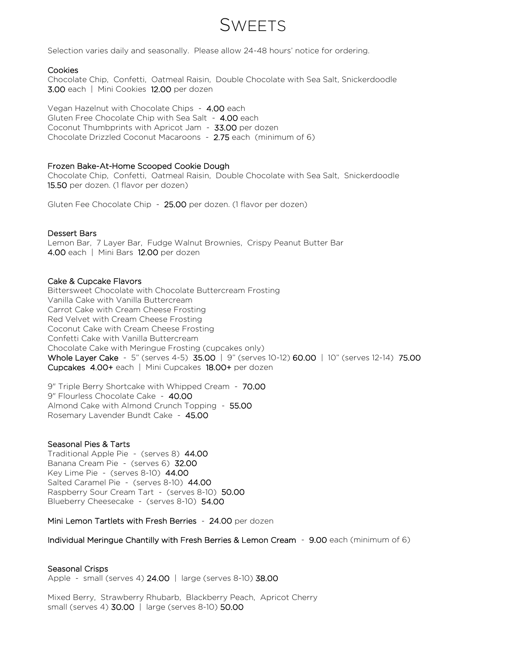### SWEETS

Selection varies daily and seasonally. Please allow 24-48 hours' notice for ordering.

#### Cookies

Chocolate Chip, Confetti, Oatmeal Raisin, Double Chocolate with Sea Salt, Snickerdoodle 3.00 each | Mini Cookies 12.00 per dozen

Vegan Hazelnut with Chocolate Chips - 4.00 each Gluten Free Chocolate Chip with Sea Salt - 4.00 each Coconut Thumbprints with Apricot Jam - 33.00 per dozen Chocolate Drizzled Coconut Macaroons - 2.75 each (minimum of 6)

#### Frozen Bake-At-Home Scooped Cookie Dough

Chocolate Chip, Confetti, Oatmeal Raisin, Double Chocolate with Sea Salt, Snickerdoodle 15.50 per dozen. (1 flavor per dozen)

Gluten Fee Chocolate Chip - 25.00 per dozen. (1 flavor per dozen)

#### Dessert Bars

Lemon Bar, 7 Layer Bar, Fudge Walnut Brownies, Crispy Peanut Butter Bar 4.00 each | Mini Bars 12.00 per dozen

#### Cake & Cupcake Flavors

Bittersweet Chocolate with Chocolate Buttercream Frosting Vanilla Cake with Vanilla Buttercream Carrot Cake with Cream Cheese Frosting Red Velvet with Cream Cheese Frosting Coconut Cake with Cream Cheese Frosting Confetti Cake with Vanilla Buttercream Chocolate Cake with Meringue Frosting (cupcakes only) Whole Layer Cake - 5" (serves 4-5) 35.00 | 9" (serves 10-12) 60.00 | 10" (serves 12-14) 75.00 Cupcakes 4.00+ each | Mini Cupcakes 18.00+ per dozen

9" Triple Berry Shortcake with Whipped Cream - 70.00 9" Flourless Chocolate Cake - 40.00 Almond Cake with Almond Crunch Topping - 55.00 Rosemary Lavender Bundt Cake - 45.00

#### Seasonal Pies & Tarts

Traditional Apple Pie - (serves 8) 44.00 Banana Cream Pie - (serves 6) 32.00 Key Lime Pie - (serves 8-10) 44.00 Salted Caramel Pie - (serves 8-10) 44.00 Raspberry Sour Cream Tart - (serves 8-10) 50.00 Blueberry Cheesecake - (serves 8-10) 54.00

Mini Lemon Tartlets with Fresh Berries - 24.00 per dozen

#### Individual Meringue Chantilly with Fresh Berries & Lemon Cream - 9.00 each (minimum of 6)

### Seasonal Crisps

Apple - small (serves 4) 24.00 | large (serves 8-10) 38.00

Mixed Berry, Strawberry Rhubarb, Blackberry Peach, Apricot Cherry small (serves 4) 30.00 | large (serves 8-10) 50.00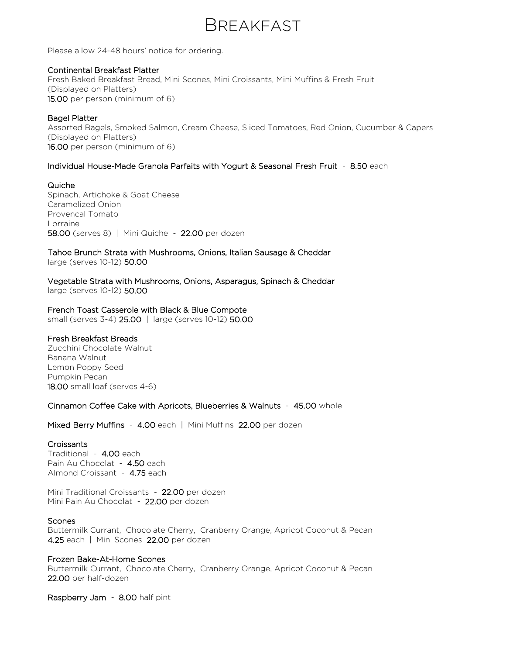### BREAKFAST

Please allow 24-48 hours' notice for ordering.

### Continental Breakfast Platter

Fresh Baked Breakfast Bread, Mini Scones, Mini Croissants, Mini Muffins & Fresh Fruit (Displayed on Platters) 15.00 per person (minimum of 6)

### Bagel Platter

Assorted Bagels, Smoked Salmon, Cream Cheese, Sliced Tomatoes, Red Onion, Cucumber & Capers (Displayed on Platters) 16.00 per person (minimum of 6)

### Individual House-Made Granola Parfaits with Yogurt & Seasonal Fresh Fruit - 8.50 each

### Quiche

Spinach, Artichoke & Goat Cheese Caramelized Onion Provencal Tomato Lorraine 58.00 (serves 8) | Mini Quiche - 22.00 per dozen

### Tahoe Brunch Strata with Mushrooms, Onions, Italian Sausage & Cheddar large (serves 10-12) 50.00

Vegetable Strata with Mushrooms, Onions, Asparagus, Spinach & Cheddar large (serves 10-12) 50.00

### French Toast Casserole with Black & Blue Compote

small (serves 3-4) 25.00 | large (serves 10-12) 50.00

### Fresh Breakfast Breads

Zucchini Chocolate Walnut Banana Walnut Lemon Poppy Seed Pumpkin Pecan 18.00 small loaf (serves 4-6)

### Cinnamon Coffee Cake with Apricots, Blueberries & Walnuts - 45.00 whole

Mixed Berry Muffins - 4.00 each | Mini Muffins 22.00 per dozen

### Croissants

Traditional - 4.00 each Pain Au Chocolat - 4.50 each Almond Croissant - 4.75 each

Mini Traditional Croissants - 22.00 per dozen Mini Pain Au Chocolat - 22.00 per dozen

### Scones

Buttermilk Currant, Chocolate Cherry, Cranberry Orange, Apricot Coconut & Pecan 4.25 each | Mini Scones 22.00 per dozen

### Frozen Bake-At-Home Scones

Buttermilk Currant, Chocolate Cherry, Cranberry Orange, Apricot Coconut & Pecan 22.00 per half-dozen

Raspberry Jam - 8.00 half pint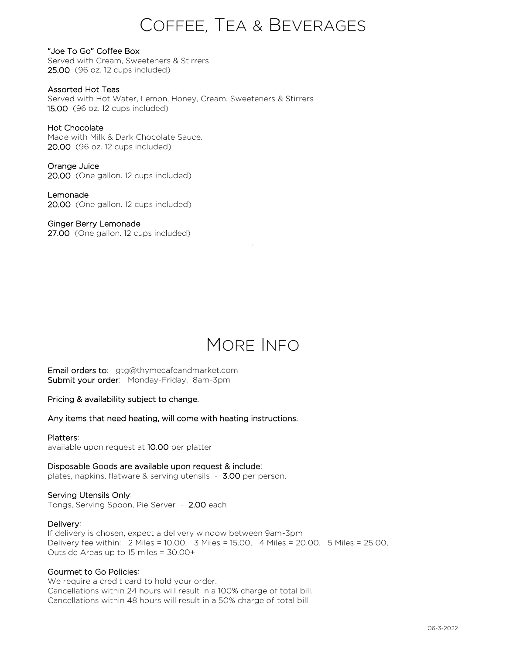# COFFEE, TEA & BEVERAGES

"Joe To Go" Coffee Box Served with Cream, Sweeteners & Stirrers 25.00 (96 oz. 12 cups included)

Assorted Hot Teas Served with Hot Water, Lemon, Honey, Cream, Sweeteners & Stirrers 15.00 (96 oz. 12 cups included)

### Hot Chocolate

Made with Milk & Dark Chocolate Sauce. 20.00 (96 oz. 12 cups included)

Orange Juice 20.00 (One gallon. 12 cups included)

Lemonade 20.00 (One gallon. 12 cups included)

Ginger Berry Lemonade 27.00 (One gallon. 12 cups included)

# MORE INFO

.

Email orders to: gtg@thymecafeandmarket.com Submit your order: Monday-Friday, 8am-3pm

Pricing & availability subject to change.

Any items that need heating, will come with heating instructions.

### Platters:

available upon request at 10.00 per platter

Disposable Goods are available upon request & include:

plates, napkins, flatware & serving utensils - 3.00 per person.

### Serving Utensils Only:

Tongs, Serving Spoon, Pie Server - 2.00 each

### Delivery:

If delivery is chosen, expect a delivery window between 9am-3pm Delivery fee within: 2 Miles = 10.00, 3 Miles = 15.00, 4 Miles = 20.00, 5 Miles = 25.00, Outside Areas up to 15 miles = 30.00+

### Gourmet to Go Policies:

We require a credit card to hold your order. Cancellations within 24 hours will result in a 100% charge of total bill. Cancellations within 48 hours will result in a 50% charge of total bill